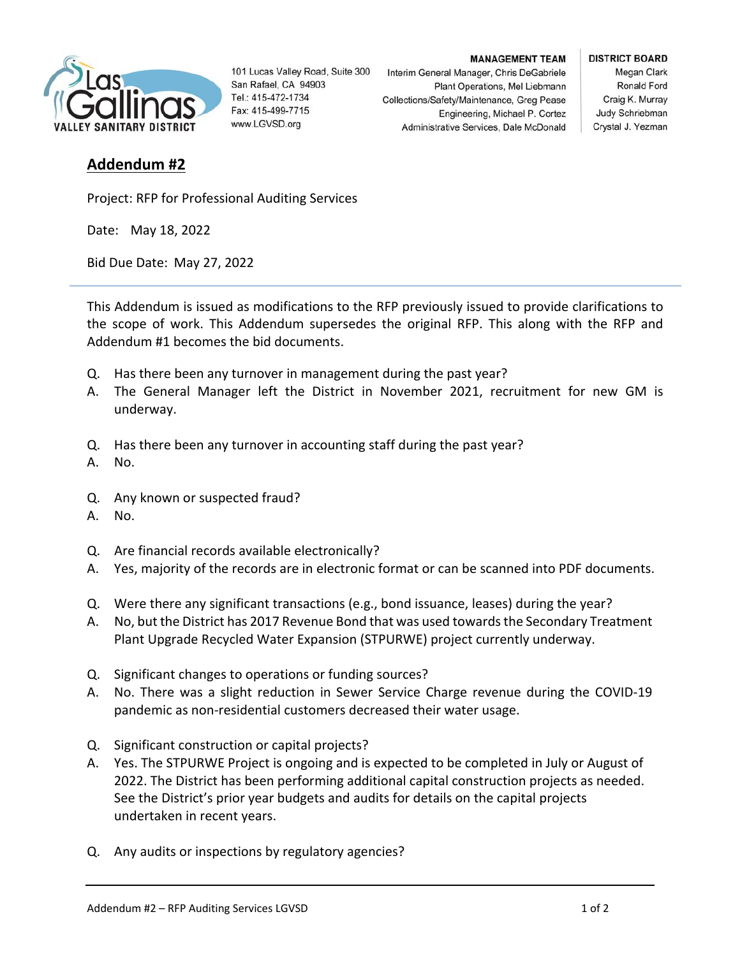

101 Lucas Valley Road, Suite 300 San Rafael, CA 94903 Tel.: 415-472-1734 Fax: 415-499-7715 www.LGVSD.org

**MANAGEMENT TEAM** 

Plant Operations, Mel Liebmann

Engineering, Michael P. Cortez

Interim General Manager, Chris DeGabriele

Collections/Safety/Maintenance, Greg Pease

Administrative Services, Dale McDonald

## **DISTRICT BOARD**

Megan Clark Ronald Ford Craig K. Murray Judy Schriebman Crystal J. Yezman

## **Addendum #2**

Project: RFP for Professional Auditing Services

Date: May 18, 2022

Bid Due Date: May 27, 2022

This Addendum is issued as modifications to the RFP previously issued to provide clarifications to the scope of work. This Addendum supersedes the original RFP. This along with the RFP and Addendum #1 becomes the bid documents.

- Q. Has there been any turnover in management during the past year?
- A. The General Manager left the District in November 2021, recruitment for new GM is underway.
- Q. Has there been any turnover in accounting staff during the past year?
- A. No.
- Q. Any known or suspected fraud?
- A. No.
- Q. Are financial records available electronically?
- A. Yes, majority of the records are in electronic format or can be scanned into PDF documents.
- Q. Were there any significant transactions (e.g., bond issuance, leases) during the year?
- A. No, but the District has 2017 Revenue Bond that was used towards the Secondary Treatment Plant Upgrade Recycled Water Expansion (STPURWE) project currently underway.
- Q. Significant changes to operations or funding sources?
- A. No. There was a slight reduction in Sewer Service Charge revenue during the COVID-19 pandemic as non‐residential customers decreased their water usage.
- Q. Significant construction or capital projects?
- A. Yes. The STPURWE Project is ongoing and is expected to be completed in July or August of 2022. The District has been performing additional capital construction projects as needed. See the District's prior year budgets and audits for details on the capital projects undertaken in recent years.
- Q. Any audits or inspections by regulatory agencies?